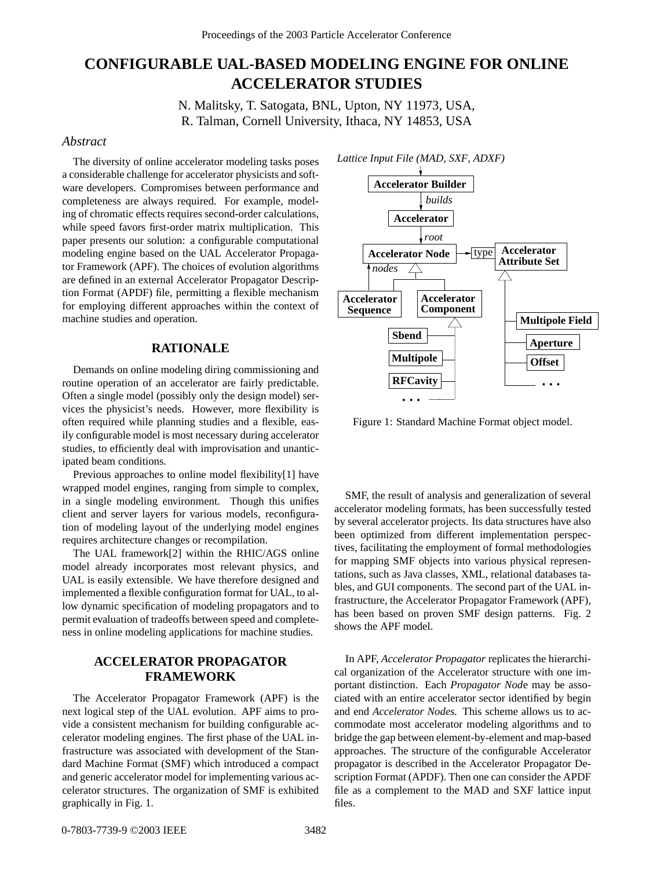# **CONFIGURABLE UAL-BASED MODELING ENGINE FOR ONLINE ACCELERATOR STUDIES**

N. Malitsky, T. Satogata, BNL, Upton, NY 11973, USA, R. Talman, Cornell University, Ithaca, NY 14853, USA

#### *Abstract*

The diversity of online accelerator modeling tasks poses a considerable challenge for accelerator physicists and software developers. Compromises between performance and completeness are always required. For example, modeling of chromatic effects requires second-order calculations, while speed favors first-order matrix multiplication. This paper presents our solution: a configurable computational modeling engine based on the UAL Accelerator Propagator Framework (APF). The choices of evolution algorithms are defined in an external Accelerator Propagator Description Format (APDF) file, permitting a flexible mechanism for employing different approaches within the context of machine studies and operation.

#### **RATIONALE**

Demands on online modeling diring commissioning and routine operation of an accelerator are fairly predictable. Often a single model (possibly only the design model) services the physicist's needs. However, more flexibility is often required while planning studies and a flexible, easily configurable model is most necessary during accelerator studies, to efficiently deal with improvisation and unanticipated beam conditions.

Previous approaches to online model flexibility[1] have wrapped model engines, ranging from simple to complex, in a single modeling environment. Though this unifies client and server layers for various models, reconfiguration of modeling layout of the underlying model engines requires architecture changes or recompilation.

The UAL framework[2] within the RHIC/AGS online model already incorporates most relevant physics, and UAL is easily extensible. We have therefore designed and implemented a flexible configuration format for UAL, to allow dynamic specification of modeling propagators and to permit evaluation of tradeoffs between speed and completeness in online modeling applications for machine studies.

# **ACCELERATOR PROPAGATOR FRAMEWORK**

The Accelerator Propagator Framework (APF) is the next logical step of the UAL evolution. APF aims to provide a consistent mechanism for building configurable accelerator modeling engines. The first phase of the UAL infrastructure was associated with development of the Standard Machine Format (SMF) which introduced a compact and generic accelerator model for implementing various accelerator structures. The organization of SMF is exhibited graphically in Fig. 1.



Figure 1: Standard Machine Format object model.

SMF, the result of analysis and generalization of several accelerator modeling formats, has been successfully tested by several accelerator projects. Its data structures have also been optimized from different implementation perspectives, facilitating the employment of formal methodologies for mapping SMF objects into various physical representations, such as Java classes, XML, relational databases tables, and GUI components. The second part of the UAL infrastructure, the Accelerator Propagator Framework (APF), has been based on proven SMF design patterns. Fig. 2 shows the APF model.

In APF, *Accelerator Propagator* replicates the hierarchical organization of the Accelerator structure with one important distinction. Each *Propagator Nod*e may be associated with an entire accelerator sector identified by begin and end *Accelerator Nodes.* This scheme allows us to accommodate most accelerator modeling algorithms and to bridge the gap between element-by-element and map-based approaches. The structure of the configurable Accelerator propagator is described in the Accelerator Propagator Description Format (APDF). Then one can consider the APDF file as a complement to the MAD and SXF lattice input files.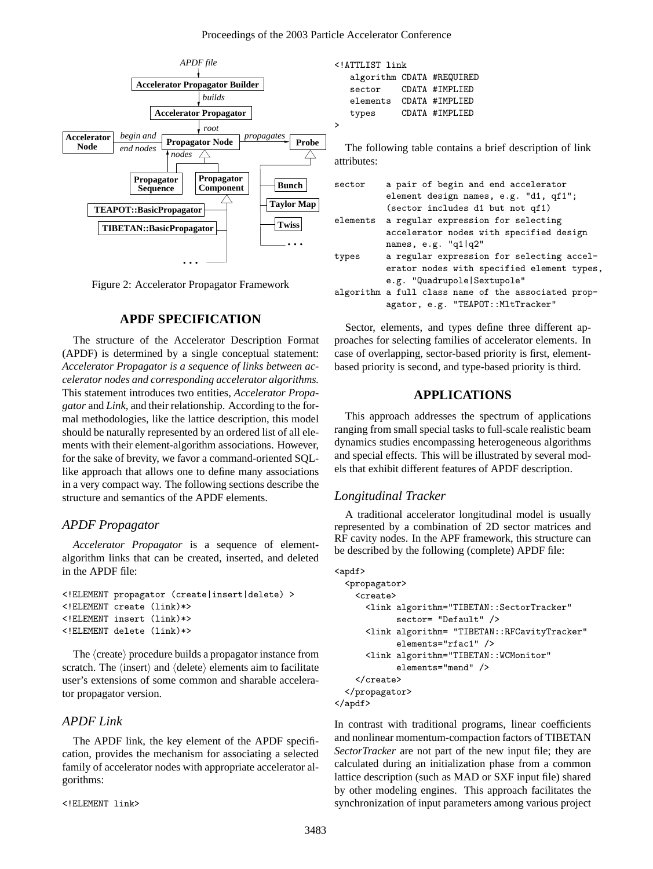

Figure 2: Accelerator Propagator Framework

## **APDF SPECIFICATION**

The structure of the Accelerator Description Format (APDF) is determined by a single conceptual statement: *Accelerator Propagator is a sequence of links between accelerator nodes and corresponding accelerator algorithms.* This statement introduces two entities, *Accelerator Propagator* and *Link,* and their relationship. According to the formal methodologies, like the lattice description, this model should be naturally represented by an ordered list of all elements with their element-algorithm associations. However, for the sake of brevity, we favor a command-oriented SQLlike approach that allows one to define many associations in a very compact way. The following sections describe the structure and semantics of the APDF elements.

#### *APDF Propagator*

*Accelerator Propagator* is a sequence of elementalgorithm links that can be created, inserted, and deleted in the APDF file:

```
<!ELEMENT propagator (create|insert|delete) >
<!ELEMENT create (link)*>
<!ELEMENT insert (link)*>
<!ELEMENT delete (link)*>
```
The  $\langle \text{create} \rangle$  procedure builds a propagator instance from scratch. The  $\langle$ insert $\rangle$  and  $\langle$ delete $\rangle$  elements aim to facilitate user's extensions of some common and sharable accelerator propagator version.

#### *APDF Link*

The APDF link, the key element of the APDF specification, provides the mechanism for associating a selected family of accelerator nodes with appropriate accelerator algorithms:

```
<!ELEMENT link>
```
<!ATTLIST link algorithm CDATA #REQUIRED sector CDATA #IMPLIED elements CDATA #IMPLIED types CDATA #IMPLIED

The following table contains a brief description of link attributes:

| sector | a pair of begin and end accelerator                 |
|--------|-----------------------------------------------------|
|        | element design names, e.g. "d1, qf1";               |
|        | (sector includes d1 but not qf1)                    |
|        | elements a regular expression for selecting         |
|        | accelerator nodes with specified design             |
|        | names, $e.g.$ "q $1 q2"$                            |
| types  | a regular expression for selecting accel-           |
|        | erator nodes with specified element types,          |
|        | e.g. "Quadrupole Sextupole"                         |
|        | algorithm a full class name of the associated prop- |
|        | agator, e.g. "TEAPOT:: MltTracker"                  |

Sector, elements, and types define three different approaches for selecting families of accelerator elements. In case of overlapping, sector-based priority is first, elementbased priority is second, and type-based priority is third.

## **APPLICATIONS**

This approach addresses the spectrum of applications ranging from small special tasks to full-scale realistic beam dynamics studies encompassing heterogeneous algorithms and special effects. This will be illustrated by several models that exhibit different features of APDF description.

### *Longitudinal Tracker*

A traditional accelerator longitudinal model is usually represented by a combination of 2D sector matrices and RF cavity nodes. In the APF framework, this structure can be described by the following (complete) APDF file:

```
<apdf>
  <propagator>
    <create>
      <link algorithm="TIBETAN::SectorTracker"
            sector= "Default" />
      <link algorithm= "TIBETAN::RFCavityTracker"
            elements="rfac1" />
      <link algorithm="TIBETAN::WCMonitor"
            elements="mend" />
    </create>
  </propagator>
</apdf>
```
In contrast with traditional programs, linear coefficients and nonlinear momentum-compaction factors of TIBETAN *SectorTracker* are not part of the new input file; they are calculated during an initialization phase from a common lattice description (such as MAD or SXF input file) shared by other modeling engines. This approach facilitates the synchronization of input parameters among various project